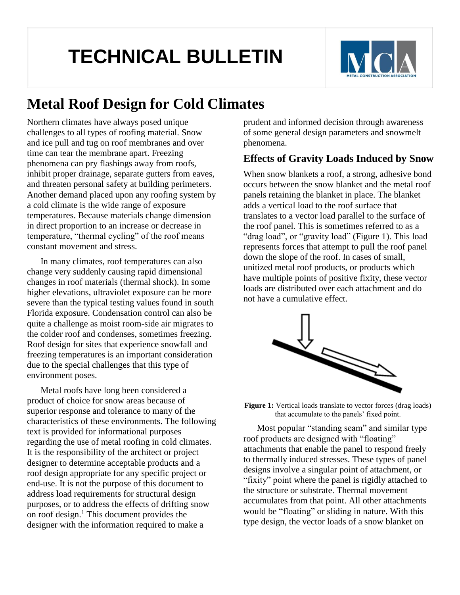# **TECHNICAL BULLETIN**



## **Metal Roof Design for Cold Climates**

Northern climates have always posed unique challenges to all types of roofing material. Snow and ice pull and tug on roof membranes and over time can tear the membrane apart. Freezing phenomena can pry flashings away from roofs, inhibit proper drainage, separate gutters from eaves, and threaten personal safety at building perimeters. Another demand placed upon any roofing system by a cold climate is the wide range of exposure temperatures. Because materials change dimension in direct proportion to an increase or decrease in temperature, "thermal cycling" of the roof means constant movement and stress.

In many climates, roof temperatures can also change very suddenly causing rapid dimensional changes in roof materials (thermal shock). In some higher elevations, ultraviolet exposure can be more severe than the typical testing values found in south Florida exposure. Condensation control can also be quite a challenge as moist room-side air migrates to the colder roof and condenses, sometimes freezing. Roof design for sites that experience snowfall and freezing temperatures is an important consideration due to the special challenges that this type of environment poses.

Metal roofs have long been considered a product of choice for snow areas because of superior response and tolerance to many of the characteristics of these environments. The following text is provided for informational purposes regarding the use of metal roofing in cold climates. It is the responsibility of the architect or project designer to determine acceptable products and a roof design appropriate for any specific project or end-use. It is not the purpose of this document to address load requirements for structural design purposes, or to address the effects of drifting snow on roof design. $<sup>1</sup>$  This document provides the</sup> designer with the information required to make a

prudent and informed decision through awareness of some general design parameters and snowmelt phenomena.

## **Effects of Gravity Loads Induced by Snow**

When snow blankets a roof, a strong, adhesive bond occurs between the snow blanket and the metal roof panels retaining the blanket in place. The blanket adds a vertical load to the roof surface that translates to a vector load parallel to the surface of the roof panel. This is sometimes referred to as a "drag load", or "gravity load" (Figure 1). This load represents forces that attempt to pull the roof panel down the slope of the roof. In cases of small, unitized metal roof products, or products which have multiple points of positive fixity, these vector loads are distributed over each attachment and do not have a cumulative effect.



**Figure 1:** Vertical loads translate to vector forces (drag loads) that accumulate to the panels' fixed point.

Most popular "standing seam" and similar type roof products are designed with "floating" attachments that enable the panel to respond freely to thermally induced stresses. These types of panel designs involve a singular point of attachment, or "fixity" point where the panel is rigidly attached to the structure or substrate. Thermal movement accumulates from that point. All other attachments would be "floating" or sliding in nature. With this type design, the vector loads of a snow blanket on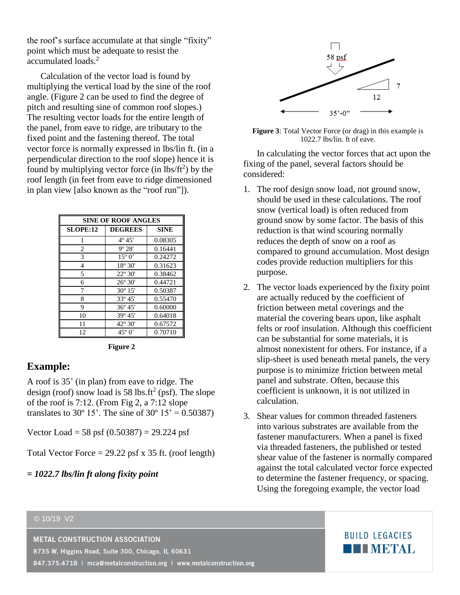the roof's surface accumulate at that single "fixity" point which must be adequate to resist the accumulated loads.<sup>2</sup>

Calculation of the vector load is found by multiplying the vertical load by the sine of the roof angle. (Figure 2 can be used to find the degree of pitch and resulting sine of common roof slopes.) The resulting vector loads for the entire length of the panel, from eave to ridge, are tributary to the fixed point and the fastening thereof. The total vector force is normally expressed in lbs/lin ft. (in a perpendicular direction to the roof slope) hence it is found by multiplying vector force (in  $\text{lbs/ft}^2$ ) by the roof length (in feet from eave to ridge dimensioned in plan view [also known as the "roof run"]).

| SINE OF ROOF ANGLES |                  |             |
|---------------------|------------------|-------------|
| <b>SLOPE:12</b>     | <b>DEGREES</b>   | <b>SINE</b> |
| 1                   | $4^{\circ} 45'$  | 0.08305     |
| $\overline{c}$      | $9^{\circ} 28'$  | 0.16441     |
| 3                   | $15^{\circ}0'$   | 0.24272     |
| 4                   | $18^{\circ} 30'$ | 0.31623     |
| 5                   | $22^{\circ} 30'$ | 0.38462     |
| 6                   | $26^{\circ} 30'$ | 0.44721     |
| 7                   | $30^{\circ} 15'$ | 0.50387     |
| 8                   | $33^{\circ} 45'$ | 0.55470     |
| 9                   | $36^{\circ} 45'$ | 0.60000     |
| 10                  | $39^{\circ} 45'$ | 0.64018     |
| 11                  | $42^{\circ} 30'$ | 0.67572     |
| 12                  | $45^{\circ}$ 0'  | 0.70710     |

**Figure 2**

#### **Example:**

A roof is 35' (in plan) from eave to ridge. The design (roof) snow load is 58 lbs.ft<sup>2</sup> (psf). The slope of the roof is 7:12. (From Fig 2, a 7:12 slope translates to 30 $^{\circ}$  15'. The sine of 30 $^{\circ}$  15' = 0.50387)

Vector Load = 58 psf  $(0.50387) = 29.224$  psf

Total Vector Force =  $29.22$  psf x 35 ft. (roof length)

#### *= 1022.7 lbs/lin ft along fixity point*



**Figure 3**: Total Vector Force (or drag) in this example is 1022.7 lbs/lin. ft of eave.

In calculating the vector forces that act upon the fixing of the panel, several factors should be considered:

- 1. The roof design snow load, not ground snow, should be used in these calculations. The roof snow (vertical load) is often reduced from ground snow by some factor. The basis of this reduction is that wind scouring normally reduces the depth of snow on a roof as compared to ground accumulation. Most design codes provide reduction multipliers for this purpose.
- 2. The vector loads experienced by the fixity point are actually reduced by the coefficient of friction between metal coverings and the material the covering bears upon, like asphalt felts or roof insulation. Although this coefficient can be substantial for some materials, it is almost nonexistent for others. For instance, if a slip-sheet is used beneath metal panels, the very purpose is to minimize friction between metal panel and substrate. Often, because this coefficient is unknown, it is not utilized in calculation.
- 3. Shear values for common threaded fasteners into various substrates are available from the fastener manufacturers. When a panel is fixed via threaded fasteners, the published or tested shear value of the fastener is normally compared against the total calculated vector force expected to determine the fastener frequency, or spacing. Using the foregoing example, the vector load

#### © 10/19 V2

**METAL CONSTRUCTION ASSOCIATION** 

8735 W. Higgins Road, Suite 300, Chicago, IL 60631

847.375.4718 | mca@metalconstruction.org | www.metalconstruction.org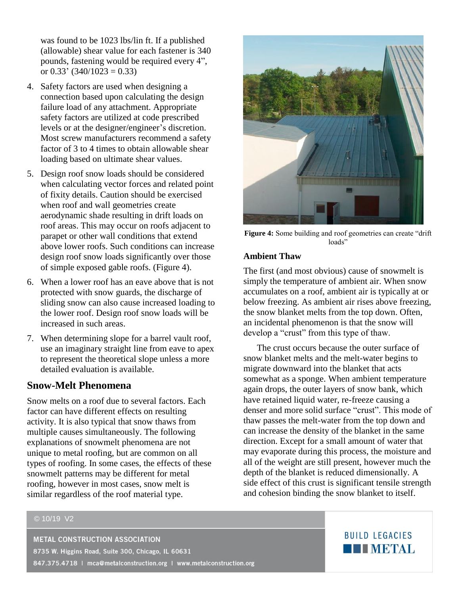was found to be 1023 lbs/lin ft. If a published (allowable) shear value for each fastener is 340 pounds, fastening would be required every 4", or  $0.33'$  (340/1023 = 0.33)

- 4. Safety factors are used when designing a connection based upon calculating the design failure load of any attachment. Appropriate safety factors are utilized at code prescribed levels or at the designer/engineer's discretion. Most screw manufacturers recommend a safety factor of 3 to 4 times to obtain allowable shear loading based on ultimate shear values.
- 5. Design roof snow loads should be considered when calculating vector forces and related point of fixity details. Caution should be exercised when roof and wall geometries create aerodynamic shade resulting in drift loads on roof areas. This may occur on roofs adjacent to parapet or other wall conditions that extend above lower roofs. Such conditions can increase design roof snow loads significantly over those of simple exposed gable roofs. (Figure 4).
- 6. When a lower roof has an eave above that is not protected with snow guards, the discharge of sliding snow can also cause increased loading to the lower roof. Design roof snow loads will be increased in such areas.
- 7. When determining slope for a barrel vault roof, use an imaginary straight line from eave to apex to represent the theoretical slope unless a more detailed evaluation is available.

#### **Snow-Melt Phenomena**

Snow melts on a roof due to several factors. Each factor can have different effects on resulting activity. It is also typical that snow thaws from multiple causes simultaneously. The following explanations of snowmelt phenomena are not unique to metal roofing, but are common on all types of roofing. In some cases, the effects of these snowmelt patterns may be different for metal roofing, however in most cases, snow melt is similar regardless of the roof material type.



**Figure 4:** Some building and roof geometries can create "drift loads"

#### **Ambient Thaw**

The first (and most obvious) cause of snowmelt is simply the temperature of ambient air. When snow accumulates on a roof, ambient air is typically at or below freezing. As ambient air rises above freezing, the snow blanket melts from the top down. Often, an incidental phenomenon is that the snow will develop a "crust" from this type of thaw.

The crust occurs because the outer surface of snow blanket melts and the melt-water begins to migrate downward into the blanket that acts somewhat as a sponge. When ambient temperature again drops, the outer layers of snow bank, which have retained liquid water, re-freeze causing a denser and more solid surface "crust". This mode of thaw passes the melt-water from the top down and can increase the density of the blanket in the same direction. Except for a small amount of water that may evaporate during this process, the moisture and all of the weight are still present, however much the depth of the blanket is reduced dimensionally. A side effect of this crust is significant tensile strength and cohesion binding the snow blanket to itself.

#### © 10/19 V2

**METAL CONSTRUCTION ASSOCIATION** 8735 W. Higgins Road, Suite 300, Chicago, IL 60631 847.375.4718 | mca@metalconstruction.org | www.metalconstruction.org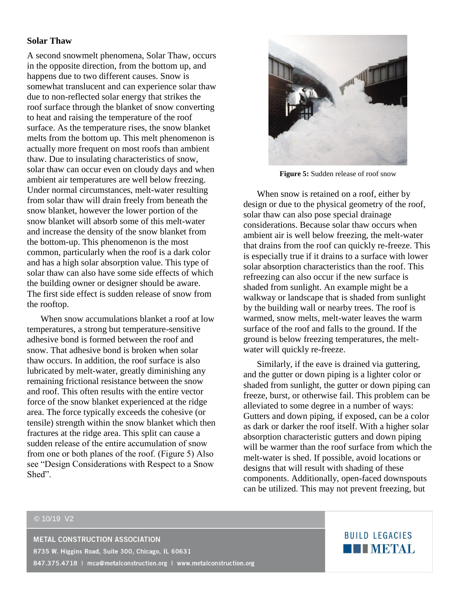#### **Solar Thaw**

A second snowmelt phenomena, Solar Thaw, occurs in the opposite direction, from the bottom up, and happens due to two different causes. Snow is somewhat translucent and can experience solar thaw due to non-reflected solar energy that strikes the roof surface through the blanket of snow converting to heat and raising the temperature of the roof surface. As the temperature rises, the snow blanket melts from the bottom up. This melt phenomenon is actually more frequent on most roofs than ambient thaw. Due to insulating characteristics of snow, solar thaw can occur even on cloudy days and when ambient air temperatures are well below freezing. Under normal circumstances, melt-water resulting from solar thaw will drain freely from beneath the snow blanket, however the lower portion of the snow blanket will absorb some of this melt-water and increase the density of the snow blanket from the bottom-up. This phenomenon is the most common, particularly when the roof is a dark color and has a high solar absorption value. This type of solar thaw can also have some side effects of which the building owner or designer should be aware. The first side effect is sudden release of snow from the rooftop.

When snow accumulations blanket a roof at low temperatures, a strong but temperature-sensitive adhesive bond is formed between the roof and snow. That adhesive bond is broken when solar thaw occurs. In addition, the roof surface is also lubricated by melt-water, greatly diminishing any remaining frictional resistance between the snow and roof. This often results with the entire vector force of the snow blanket experienced at the ridge area. The force typically exceeds the cohesive (or tensile) strength within the snow blanket which then fractures at the ridge area. This split can cause a sudden release of the entire accumulation of snow from one or both planes of the roof. (Figure 5) Also see "Design Considerations with Respect to a Snow Shed".



**Figure 5:** Sudden release of roof snow

When snow is retained on a roof, either by design or due to the physical geometry of the roof, solar thaw can also pose special drainage considerations. Because solar thaw occurs when ambient air is well below freezing, the melt-water that drains from the roof can quickly re-freeze. This is especially true if it drains to a surface with lower solar absorption characteristics than the roof. This refreezing can also occur if the new surface is shaded from sunlight. An example might be a walkway or landscape that is shaded from sunlight by the building wall or nearby trees. The roof is warmed, snow melts, melt-water leaves the warm surface of the roof and falls to the ground. If the ground is below freezing temperatures, the meltwater will quickly re-freeze.

Similarly, if the eave is drained via guttering, and the gutter or down piping is a lighter color or shaded from sunlight, the gutter or down piping can freeze, burst, or otherwise fail. This problem can be alleviated to some degree in a number of ways: Gutters and down piping, if exposed, can be a color as dark or darker the roof itself. With a higher solar absorption characteristic gutters and down piping will be warmer than the roof surface from which the melt-water is shed. If possible, avoid locations or designs that will result with shading of these components. Additionally, open-faced downspouts can be utilized. This may not prevent freezing, but

#### © 10/19 V2

**METAL CONSTRUCTION ASSOCIATION** 8735 W. Higgins Road, Suite 300, Chicago, IL 60631 847.375.4718 | mca@metalconstruction.org | www.metalconstruction.org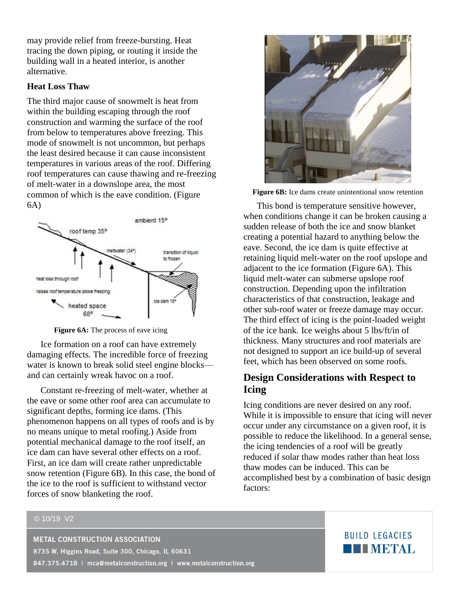may provide relief from freeze-bursting. Heat tracing the down piping, or routing it inside the building wall in a heated interior, is another alternative.

#### **Heat Loss Thaw**

The third major cause of snowmelt is heat from within the building escaping through the roof construction and warming the surface of the roof from below to temperatures above freezing. This mode of snowmelt is not uncommon, but perhaps the least desired because it can cause inconsistent temperatures in various areas of the roof. Differing roof temperatures can cause thawing and re-freezing of melt-water in a downslope area, the most common of which is the eave condition. (Figure 6A)



**Figure 6A:** The process of eave icing

Ice formation on a roof can have extremely damaging effects. The incredible force of freezing water is known to break solid steel engine blocks and can certainly wreak havoc on a roof.

Constant re-freezing of melt-water, whether at the eave or some other roof area can accumulate to significant depths, forming ice dams. (This phenomenon happens on all types of roofs and is by no means unique to metal roofing.) Aside from potential mechanical damage to the roof itself, an ice dam can have several other effects on a roof. First, an ice dam will create rather unpredictable snow retention (Figure 6B). In this case, the bond of the ice to the roof is sufficient to withstand vector forces of snow blanketing the roof.



**Figure 6B:** Ice dams create unintentional snow retention

This bond is temperature sensitive however, when conditions change it can be broken causing a sudden release of both the ice and snow blanket creating a potential hazard to anything below the eave. Second, the ice dam is quite effective at retaining liquid melt-water on the roof upslope and adjacent to the ice formation (Figure 6A). This liquid melt-water can submerse upslope roof construction. Depending upon the infiltration characteristics of that construction, leakage and other sub-roof water or freeze damage may occur. The third effect of icing is the point-loaded weight of the ice bank. Ice weighs about 5 lbs/ft/in of thickness. Many structures and roof materials are not designed to support an ice build-up of several feet, which has been observed on some roofs.

## **Design Considerations with Respect to Icing**

Icing conditions are never desired on any roof. While it is impossible to ensure that icing will never occur under any circumstance on a given roof, it is possible to reduce the likelihood. In a general sense, the icing tendencies of a roof will be greatly reduced if solar thaw modes rather than heat loss thaw modes can be induced. This can be accomplished best by a combination of basic design factors:

#### © 10/19 V2

**METAL CONSTRUCTION ASSOCIATION** 8735 W. Higgins Road, Suite 300, Chicago, IL 60631 847.375.4718 | mca@metalconstruction.org | www.metalconstruction.org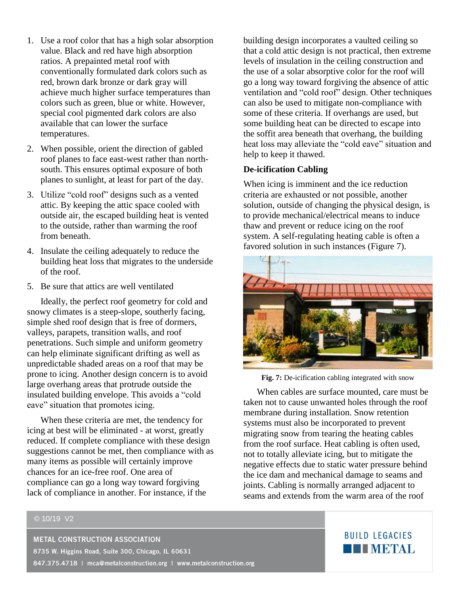- 1. Use a roof color that has a high solar absorption value. Black and red have high absorption ratios. A prepainted metal roof with conventionally formulated dark colors such as red, brown dark bronze or dark gray will achieve much higher surface temperatures than colors such as green, blue or white. However, special cool pigmented dark colors are also available that can lower the surface temperatures.
- 2. When possible, orient the direction of gabled roof planes to face east-west rather than northsouth. This ensures optimal exposure of both planes to sunlight, at least for part of the day.
- 3. Utilize "cold roof" designs such as a vented attic. By keeping the attic space cooled with outside air, the escaped building heat is vented to the outside, rather than warming the roof from beneath.
- 4. Insulate the ceiling adequately to reduce the building heat loss that migrates to the underside of the roof.
- 5. Be sure that attics are well ventilated

Ideally, the perfect roof geometry for cold and snowy climates is a steep-slope, southerly facing, simple shed roof design that is free of dormers, valleys, parapets, transition walls, and roof penetrations. Such simple and uniform geometry can help eliminate significant drifting as well as unpredictable shaded areas on a roof that may be prone to icing. Another design concern is to avoid large overhang areas that protrude outside the insulated building envelope. This avoids a "cold eave" situation that promotes icing.

When these criteria are met, the tendency for icing at best will be eliminated - at worst, greatly reduced. If complete compliance with these design suggestions cannot be met, then compliance with as many items as possible will certainly improve chances for an ice-free roof. One area of compliance can go a long way toward forgiving lack of compliance in another. For instance, if the

building design incorporates a vaulted ceiling so that a cold attic design is not practical, then extreme levels of insulation in the ceiling construction and the use of a solar absorptive color for the roof will go a long way toward forgiving the absence of attic ventilation and "cold roof" design. Other techniques can also be used to mitigate non-compliance with some of these criteria. If overhangs are used, but some building heat can be directed to escape into the soffit area beneath that overhang, the building heat loss may alleviate the "cold eave" situation and help to keep it thawed.

#### **De-icification Cabling**

When icing is imminent and the ice reduction criteria are exhausted or not possible, another solution, outside of changing the physical design, is to provide mechanical/electrical means to induce thaw and prevent or reduce icing on the roof system. A self-regulating heating cable is often a favored solution in such instances (Figure 7).



**Fig. 7:** De-icification cabling integrated with snow

When cables are surface mounted, care must be taken not to cause unwanted holes through the roof membrane during installation. Snow retention systems must also be incorporated to prevent migrating snow from tearing the heating cables from the roof surface. Heat cabling is often used, not to totally alleviate icing, but to mitigate the negative effects due to static water pressure behind the ice dam and mechanical damage to seams and joints. Cabling is normally arranged adjacent to seams and extends from the warm area of the roof

#### © 10/19 V2

**METAL CONSTRUCTION ASSOCIATION** 8735 W. Higgins Road, Suite 300, Chicago, IL 60631 847.375.4718 | mca@metalconstruction.org | www.metalconstruction.org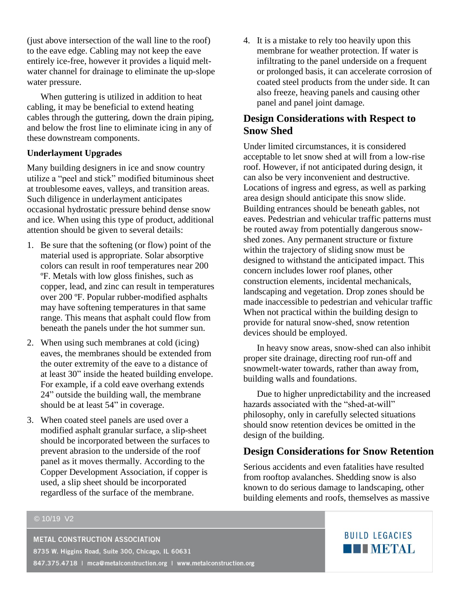(just above intersection of the wall line to the roof) to the eave edge. Cabling may not keep the eave entirely ice-free, however it provides a liquid meltwater channel for drainage to eliminate the up-slope water pressure.

When guttering is utilized in addition to heat cabling, it may be beneficial to extend heating cables through the guttering, down the drain piping, and below the frost line to eliminate icing in any of these downstream components.

#### **Underlayment Upgrades**

Many building designers in ice and snow country utilize a "peel and stick" modified bituminous sheet at troublesome eaves, valleys, and transition areas. Such diligence in underlayment anticipates occasional hydrostatic pressure behind dense snow and ice. When using this type of product, additional attention should be given to several details:

- 1. Be sure that the softening (or flow) point of the material used is appropriate. Solar absorptive colors can result in roof temperatures near 200 ºF. Metals with low gloss finishes, such as copper, lead, and zinc can result in temperatures over 200 ºF. Popular rubber-modified asphalts may have softening temperatures in that same range. This means that asphalt could flow from beneath the panels under the hot summer sun.
- 2. When using such membranes at cold (icing) eaves, the membranes should be extended from the outer extremity of the eave to a distance of at least 30" inside the heated building envelope. For example, if a cold eave overhang extends 24" outside the building wall, the membrane should be at least 54" in coverage.
- 3. When coated steel panels are used over a modified asphalt granular surface, a slip-sheet should be incorporated between the surfaces to prevent abrasion to the underside of the roof panel as it moves thermally. According to the Copper Development Association, if copper is used, a slip sheet should be incorporated regardless of the surface of the membrane.

4. It is a mistake to rely too heavily upon this membrane for weather protection. If water is infiltrating to the panel underside on a frequent or prolonged basis, it can accelerate corrosion of coated steel products from the under side. It can also freeze, heaving panels and causing other panel and panel joint damage.

## **Design Considerations with Respect to Snow Shed**

Under limited circumstances, it is considered acceptable to let snow shed at will from a low-rise roof. However, if not anticipated during design, it can also be very inconvenient and destructive. Locations of ingress and egress, as well as parking area design should anticipate this snow slide. Building entrances should be beneath gables, not eaves. Pedestrian and vehicular traffic patterns must be routed away from potentially dangerous snowshed zones. Any permanent structure or fixture within the trajectory of sliding snow must be designed to withstand the anticipated impact. This concern includes lower roof planes, other construction elements, incidental mechanicals, landscaping and vegetation. Drop zones should be made inaccessible to pedestrian and vehicular traffic When not practical within the building design to provide for natural snow-shed, snow retention devices should be employed.

In heavy snow areas, snow-shed can also inhibit proper site drainage, directing roof run-off and snowmelt-water towards, rather than away from, building walls and foundations.

Due to higher unpredictability and the increased hazards associated with the "shed-at-will" philosophy, only in carefully selected situations should snow retention devices be omitted in the design of the building.

## **Design Considerations for Snow Retention**

Serious accidents and even fatalities have resulted from rooftop avalanches. Shedding snow is also known to do serious damage to landscaping, other building elements and roofs, themselves as massive

#### © 10/19 V2

**METAL CONSTRUCTION ASSOCIATION** 8735 W. Higgins Road, Suite 300, Chicago, IL 60631 847.375.4718 | mca@metalconstruction.org | www.metalconstruction.org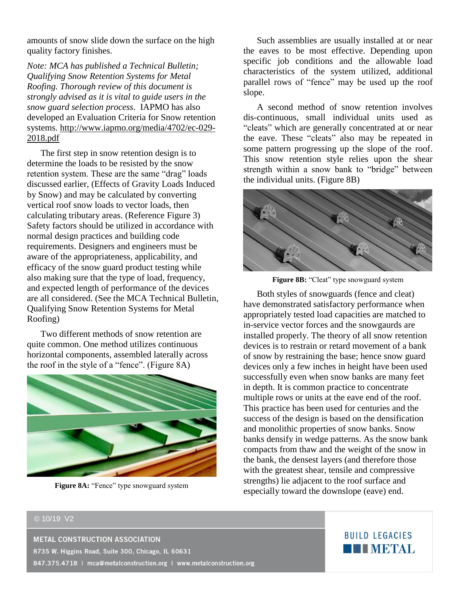amounts of snow slide down the surface on the high quality factory finishes.

*Note: MCA has published a Technical Bulletin; Qualifying Snow Retention Systems for Metal Roofing. Thorough review of this document is strongly advised as it is vital to guide users in the snow guard selection process*. IAPMO has also developed an Evaluation Criteria for Snow retention systems. [http://www.iapmo.org/media/4702/ec-029-](http://www.iapmo.org/media/4702/ec-029-2018.pdf) [2018.pdf](http://www.iapmo.org/media/4702/ec-029-2018.pdf)

The first step in snow retention design is to determine the loads to be resisted by the snow retention system. These are the same "drag" loads discussed earlier, (Effects of Gravity Loads Induced by Snow) and may be calculated by converting vertical roof snow loads to vector loads, then calculating tributary areas. (Reference Figure 3) Safety factors should be utilized in accordance with normal design practices and building code requirements. Designers and engineers must be aware of the appropriateness, applicability, and efficacy of the snow guard product testing while also making sure that the type of load, frequency, and expected length of performance of the devices are all considered. (See the MCA Technical Bulletin, Qualifying Snow Retention Systems for Metal Roofing)

Two different methods of snow retention are quite common. One method utilizes continuous horizontal components, assembled laterally across the roof in the style of a "fence". (Figure 8A)



**Figure 8A:** "Fence" type snowguard system

Such assemblies are usually installed at or near the eaves to be most effective. Depending upon specific job conditions and the allowable load characteristics of the system utilized, additional parallel rows of "fence" may be used up the roof slope.

A second method of snow retention involves dis-continuous, small individual units used as "cleats" which are generally concentrated at or near the eave. These "cleats" also may be repeated in some pattern progressing up the slope of the roof. This snow retention style relies upon the shear strength within a snow bank to "bridge" between the individual units. (Figure 8B)





Both styles of snowguards (fence and cleat) have demonstrated satisfactory performance when appropriately tested load capacities are matched to in-service vector forces and the snowgaurds are installed properly. The theory of all snow retention devices is to restrain or retard movement of a bank of snow by restraining the base; hence snow guard devices only a few inches in height have been used successfully even when snow banks are many feet in depth. It is common practice to concentrate multiple rows or units at the eave end of the roof. This practice has been used for centuries and the success of the design is based on the densification and monolithic properties of snow banks. Snow banks densify in wedge patterns. As the snow bank compacts from thaw and the weight of the snow in the bank, the densest layers (and therefore those with the greatest shear, tensile and compressive strengths) lie adjacent to the roof surface and especially toward the downslope (eave) end.

#### © 10/19 V2

**METAL CONSTRUCTION ASSOCIATION** 8735 W. Higgins Road, Suite 300, Chicago, IL 60631 847.375.4718 | mca@metalconstruction.org | www.metalconstruction.org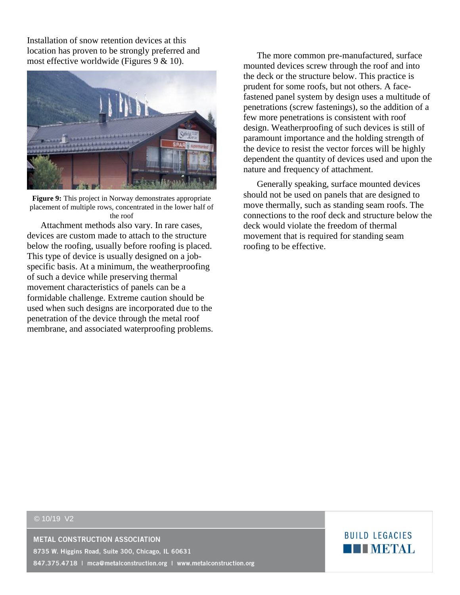Installation of snow retention devices at this location has proven to be strongly preferred and most effective worldwide (Figures 9 & 10).



**Figure 9:** This project in Norway demonstrates appropriate placement of multiple rows, concentrated in the lower half of the roof

Attachment methods also vary. In rare cases, devices are custom made to attach to the structure below the roofing, usually before roofing is placed. This type of device is usually designed on a jobspecific basis. At a minimum, the weatherproofing of such a device while preserving thermal movement characteristics of panels can be a formidable challenge. Extreme caution should be used when such designs are incorporated due to the penetration of the device through the metal roof membrane, and associated waterproofing problems.

The more common pre-manufactured, surface mounted devices screw through the roof and into the deck or the structure below. This practice is prudent for some roofs, but not others. A facefastened panel system by design uses a multitude of penetrations (screw fastenings), so the addition of a few more penetrations is consistent with roof design. Weatherproofing of such devices is still of paramount importance and the holding strength of the device to resist the vector forces will be highly dependent the quantity of devices used and upon the nature and frequency of attachment.

Generally speaking, surface mounted devices should not be used on panels that are designed to move thermally, such as standing seam roofs. The connections to the roof deck and structure below the deck would violate the freedom of thermal movement that is required for standing seam roofing to be effective.

#### © 10/19 V2

**METAL CONSTRUCTION ASSOCIATION** 

8735 W. Higgins Road, Suite 300, Chicago, IL 60631

847.375.4718 | mca@metalconstruction.org | www.metalconstruction.org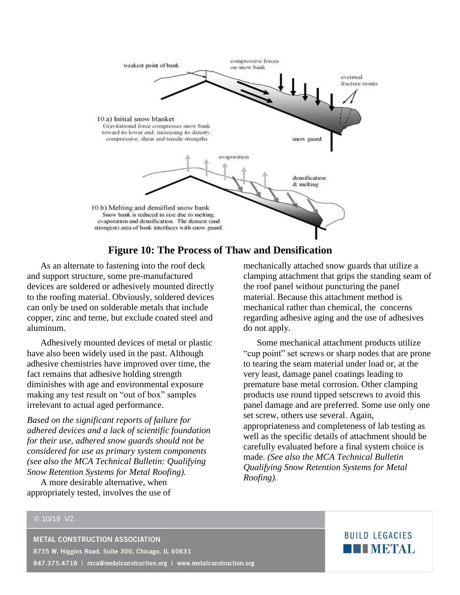

## **Figure 10: The Process of Thaw and Densification**

As an alternate to fastening into the roof deck and support structure, some pre-manufactured devices are soldered or adhesively mounted directly to the roofing material. Obviously, soldered devices can only be used on solderable metals that include copper, zinc and terne, but exclude coated steel and aluminum.

Adhesively mounted devices of metal or plastic have also been widely used in the past. Although adhesive chemistries have improved over time, the fact remains that adhesive holding strength diminishes with age and environmental exposure making any test result on "out of box" samples irrelevant to actual aged performance.

*Based on the significant reports of failure for adhered devices and a lack of scientific foundation for their use, adhered snow guards should not be considered for use as primary system components (see also the MCA Technical Bulletin: Qualifying Snow Retention Systems for Metal Roofing).* 

A more desirable alternative, when appropriately tested, involves the use of mechanically attached snow guards that utilize a clamping attachment that grips the standing seam of the roof panel without puncturing the panel material. Because this attachment method is mechanical rather than chemical, the concerns regarding adhesive aging and the use of adhesives do not apply.

Some mechanical attachment products utilize "cup point" set screws or sharp nodes that are prone to tearing the seam material under load or, at the very least, damage panel coatings leading to premature base metal corrosion. Other clamping products use round tipped setscrews to avoid this panel damage and are preferred. Some use only one set screw, others use several. Again, appropriateness and completeness of lab testing as well as the specific details of attachment should be carefully evaluated before a final system choice is made. *(See also the MCA Technical Bulletin Qualifying Snow Retention Systems for Metal Roofing).* 

#### © 10/19 V2

**METAL CONSTRUCTION ASSOCIATION** 8735 W. Higgins Road, Suite 300, Chicago, IL 60631 847.375.4718 | mca@metalconstruction.org | www.metalconstruction.org

## **BUILD LEGACIES TELEVIBITAL**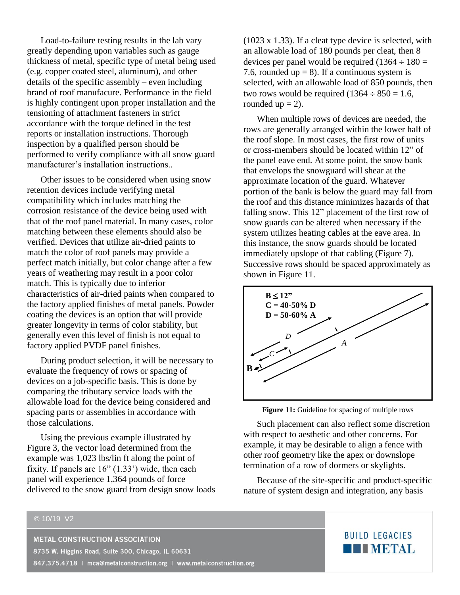Load-to-failure testing results in the lab vary greatly depending upon variables such as gauge thickness of metal, specific type of metal being used (e.g. copper coated steel, aluminum), and other details of the specific assembly – even including brand of roof manufacure. Performance in the field is highly contingent upon proper installation and the tensioning of attachment fasteners in strict accordance with the torque defined in the test reports or installation instructions. Thorough inspection by a qualified person should be performed to verify compliance with all snow guard manufacturer's installation instructions..

Other issues to be considered when using snow retention devices include verifying metal compatibility which includes matching the corrosion resistance of the device being used with that of the roof panel material. In many cases, color matching between these elements should also be verified. Devices that utilize air-dried paints to match the color of roof panels may provide a perfect match initially, but color change after a few years of weathering may result in a poor color match. This is typically due to inferior characteristics of air-dried paints when compared to the factory applied finishes of metal panels. Powder coating the devices is an option that will provide greater longevity in terms of color stability, but generally even this level of finish is not equal to factory applied PVDF panel finishes.

During product selection, it will be necessary to evaluate the frequency of rows or spacing of devices on a job-specific basis. This is done by comparing the tributary service loads with the allowable load for the device being considered and spacing parts or assemblies in accordance with those calculations.

Using the previous example illustrated by Figure 3, the vector load determined from the example was 1,023 lbs/lin ft along the point of fixity. If panels are  $16$ "  $(1.33)$ " wide, then each panel will experience 1,364 pounds of force delivered to the snow guard from design snow loads (1023 x 1.33). If a cleat type device is selected, with an allowable load of 180 pounds per cleat, then 8 devices per panel would be required  $(1364 \div 180 =$ 7.6, rounded up = 8). If a continuous system is selected, with an allowable load of 850 pounds, then two rows would be required  $(1364 \div 850 = 1.6,$ rounded  $up = 2$ ).

When multiple rows of devices are needed, the rows are generally arranged within the lower half of the roof slope. In most cases, the first row of units or cross-members should be located within 12" of the panel eave end. At some point, the snow bank that envelops the snowguard will shear at the approximate location of the guard. Whatever portion of the bank is below the guard may fall from the roof and this distance minimizes hazards of that falling snow. This 12" placement of the first row of snow guards can be altered when necessary if the system utilizes heating cables at the eave area. In this instance, the snow guards should be located immediately upslope of that cabling (Figure 7). Successive rows should be spaced approximately as shown in Figure 11.





Such placement can also reflect some discretion with respect to aesthetic and other concerns. For example, it may be desirable to align a fence with other roof geometry like the apex or downslope termination of a row of dormers or skylights.

Because of the site-specific and product-specific nature of system design and integration, any basis

## © 10/19 V2 **METAL CONSTRUCTION ASSOCIATION** 8735 W. Higgins Road, Suite 300, Chicago, IL 60631

847.375.4718 | mca@metalconstruction.org | www.metalconstruction.org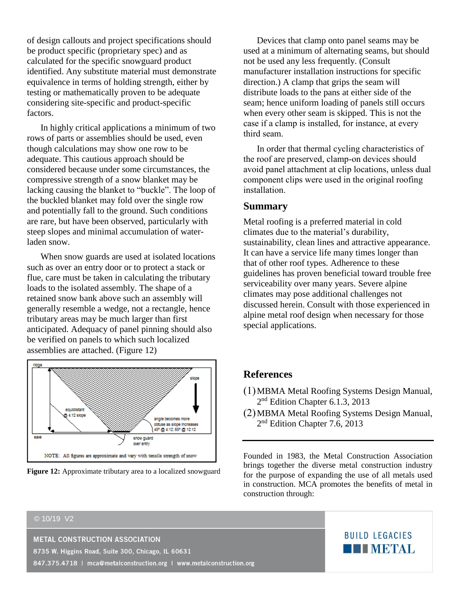of design callouts and project specifications should be product specific (proprietary spec) and as calculated for the specific snowguard product identified. Any substitute material must demonstrate equivalence in terms of holding strength, either by testing or mathematically proven to be adequate considering site-specific and product-specific factors.

In highly critical applications a minimum of two rows of parts or assemblies should be used, even though calculations may show one row to be adequate. This cautious approach should be considered because under some circumstances, the compressive strength of a snow blanket may be lacking causing the blanket to "buckle". The loop of the buckled blanket may fold over the single row and potentially fall to the ground. Such conditions are rare, but have been observed, particularly with steep slopes and minimal accumulation of waterladen snow.

When snow guards are used at isolated locations such as over an entry door or to protect a stack or flue, care must be taken in calculating the tributary loads to the isolated assembly. The shape of a retained snow bank above such an assembly will generally resemble a wedge, not a rectangle, hence tributary areas may be much larger than first anticipated. Adequacy of panel pinning should also be verified on panels to which such localized assemblies are attached. (Figure 12)



**Figure 12:** Approximate tributary area to a localized snowguard

Devices that clamp onto panel seams may be used at a minimum of alternating seams, but should not be used any less frequently. (Consult manufacturer installation instructions for specific direction.) A clamp that grips the seam will distribute loads to the pans at either side of the seam; hence uniform loading of panels still occurs when every other seam is skipped. This is not the case if a clamp is installed, for instance, at every third seam.

In order that thermal cycling characteristics of the roof are preserved, clamp-on devices should avoid panel attachment at clip locations, unless dual component clips were used in the original roofing installation.

#### **Summary**

Metal roofing is a preferred material in cold climates due to the material's durability, sustainability, clean lines and attractive appearance. It can have a service life many times longer than that of other roof types. Adherence to these guidelines has proven beneficial toward trouble free serviceability over many years. Severe alpine climates may pose additional challenges not discussed herein. Consult with those experienced in alpine metal roof design when necessary for those special applications.

#### **References**

- (1)MBMA Metal Roofing Systems Design Manual, 2<sup>nd</sup> Edition Chapter 6.1.3, 2013
- (2)MBMA Metal Roofing Systems Design Manual, 2<sup>nd</sup> Edition Chapter 7.6, 2013

Founded in 1983, the Metal Construction Association brings together the diverse metal construction industry for the purpose of expanding the use of all metals used in construction. MCA promotes the benefits of metal in construction through: